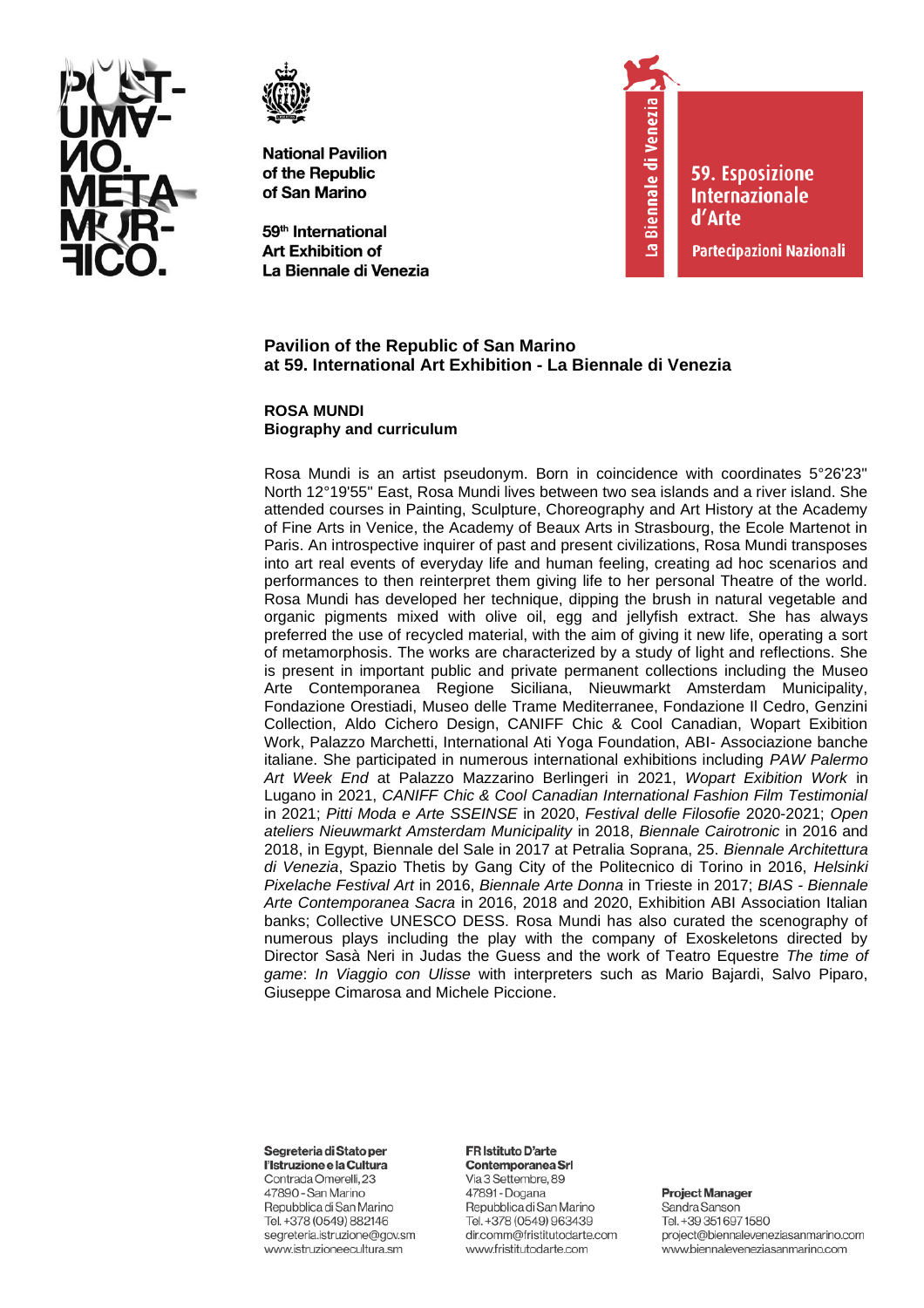



59<sup>th</sup> International Art Exhibition of La Biennale di Venezia



**59. Esposizione Internazionale** d'Arte

Partecipazioni Nazionali

## **Pavilion of the Republic of San Marino at 59. International Art Exhibition - La Biennale di Venezia**

**ROSA MUNDI Biography and curriculum**

Rosa Mundi is an artist pseudonym. Born in coincidence with coordinates 5°26'23'' North 12°19'55'' East, Rosa Mundi lives between two sea islands and a river island. She attended courses in Painting, Sculpture, Choreography and Art History at the Academy of Fine Arts in Venice, the Academy of Beaux Arts in Strasbourg, the Ecole Martenot in Paris. An introspective inquirer of past and present civilizations, Rosa Mundi transposes into art real events of everyday life and human feeling, creating ad hoc scenarios and performances to then reinterpret them giving life to her personal Theatre of the world. Rosa Mundi has developed her technique, dipping the brush in natural vegetable and organic pigments mixed with olive oil, egg and jellyfish extract. She has always preferred the use of recycled material, with the aim of giving it new life, operating a sort of metamorphosis. The works are characterized by a study of light and reflections. She is present in important public and private permanent collections including the Museo Arte Contemporanea Regione Siciliana, Nieuwmarkt Amsterdam Municipality, Fondazione Orestiadi, Museo delle Trame Mediterranee, Fondazione Il Cedro, Genzini Collection, Aldo Cichero Design, CANIFF Chic & Cool Canadian, Wopart Exibition Work, Palazzo Marchetti, International Ati Yoga Foundation, ABI- Associazione banche italiane. She participated in numerous international exhibitions including *PAW Palermo Art Week End* at Palazzo Mazzarino Berlingeri in 2021, *Wopart Exibition Work* in Lugano in 2021, *CANIFF Chic & Cool Canadian International Fashion Film Testimonial* in 2021; *Pitti Moda e Arte SSEINSE* in 2020, *Festival delle Filosofie* 2020-2021; *Open ateliers Nieuwmarkt Amsterdam Municipality* in 2018, *Biennale Cairotronic* in 2016 and 2018, in Egypt, Biennale del Sale in 2017 at Petralia Soprana, 25. *Biennale Architettura di Venezia*, Spazio Thetis by Gang City of the Politecnico di Torino in 2016, *Helsinki Pixelache Festival Art* in 2016, *Biennale Arte Donna* in Trieste in 2017; *BIAS - Biennale Arte Contemporanea Sacra* in 2016, 2018 and 2020, Exhibition ABI Association Italian banks; Collective UNESCO DESS. Rosa Mundi has also curated the scenography of numerous plays including the play with the company of Exoskeletons directed by Director Sasà Neri in Judas the Guess and the work of Teatro Equestre *The time of game*: *In Viaggio con Ulisse* with interpreters such as Mario Bajardi, Salvo Piparo, Giuseppe Cimarosa and Michele Piccione.

Segreteria di Stato per

l'Istruzione e la Cultura Contrada Omerelli, 23 47890 - San Marino Repubblica di San Marino Tel. +378 (0549) 882146 segreteria.istruzione@gov.sm www.istruzioneecultura.sm

### FR Istituto D'arte Contemporanea Srl

Via 3 Settembre, 89 47891 - Dogana Repubblica di San Marino Tel. +378 (0549) 963439 dir.comm@fristitutodarte.com www.fristitutodarte.com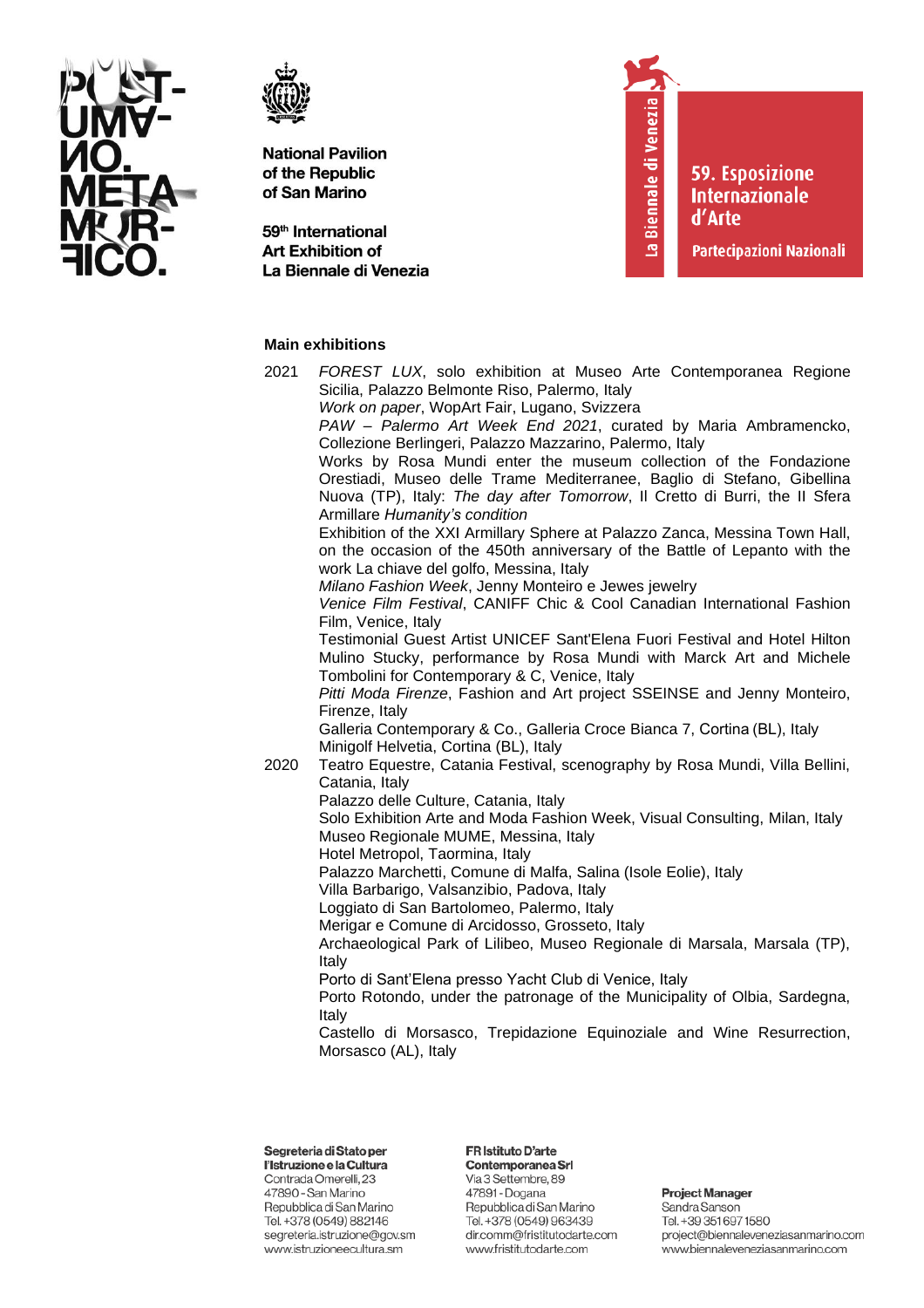



59<sup>th</sup> International **Art Exhibition of** La Biennale di Venezia

# La Biennale di Venezia

**59. Esposizione Internazionale** d'Arte

Partecipazioni Nazionali

# **Main exhibitions**

- 2021 *FOREST LUX*, solo exhibition at Museo Arte Contemporanea Regione Sicilia, Palazzo Belmonte Riso, Palermo, Italy
	- *Work on paper*, WopArt Fair, Lugano, Svizzera

*PAW – Palermo Art Week End 2021*, curated by Maria Ambramencko, Collezione Berlingeri, Palazzo Mazzarino, Palermo, Italy

Works by Rosa Mundi enter the museum collection of the Fondazione Orestiadi, Museo delle Trame Mediterranee, Baglio di Stefano, Gibellina Nuova (TP), Italy: *The day after Tomorrow*, Il Cretto di Burri, the II Sfera Armillare *Humanity's condition*

Exhibition of the XXI Armillary Sphere at Palazzo Zanca, Messina Town Hall, on the occasion of the 450th anniversary of the Battle of Lepanto with the work La chiave del golfo, Messina, Italy

*Milano Fashion Week*, Jenny Monteiro e Jewes jewelry

*Venice Film Festival*, CANIFF Chic & Cool Canadian International Fashion Film, Venice, Italy

Testimonial Guest Artist UNICEF Sant'Elena Fuori Festival and Hotel Hilton Mulino Stucky, performance by Rosa Mundi with Marck Art and Michele Tombolini for Contemporary & C, Venice, Italy

*Pitti Moda Firenze*, Fashion and Art project SSEINSE and Jenny Monteiro, Firenze, Italy

Galleria Contemporary & Co., Galleria Croce Bianca 7, Cortina (BL), Italy Minigolf Helvetia, Cortina (BL), Italy

2020 Teatro Equestre, Catania Festival, scenography by Rosa Mundi, Villa Bellini, Catania, Italy

Palazzo delle Culture, Catania, Italy

Solo Exhibition Arte and Moda Fashion Week, Visual Consulting, Milan, Italy Museo Regionale MUME, Messina, Italy

Hotel Metropol, Taormina, Italy

Palazzo Marchetti, Comune di Malfa, Salina (Isole Eolie), Italy

Villa Barbarigo, Valsanzibio, Padova, Italy

Loggiato di San Bartolomeo, Palermo, Italy

Merigar e Comune di Arcidosso, Grosseto, Italy

Archaeological Park of Lilibeo, Museo Regionale di Marsala, Marsala (TP), Italy

Porto di Sant'Elena presso Yacht Club di Venice, Italy

Porto Rotondo, under the patronage of the Municipality of Olbia, Sardegna, Italy

Castello di Morsasco, Trepidazione Equinoziale and Wine Resurrection, Morsasco (AL), Italy

Segreteria di Stato per

l'Istruzione e la Cultura Contrada Omerelli, 23 47890 - San Marino Repubblica di San Marino Tel. +378 (0549) 882146 segreteria.istruzione@gov.sm www.istruzioneecultura.sm

FR Istituto D'arte Contemporanea Srl

Via 3 Settembre, 89 47891 - Dogana Repubblica di San Marino Tel. +378 (0549) 963439 dir.comm@fristitutodarte.com www.fristitutodarte.com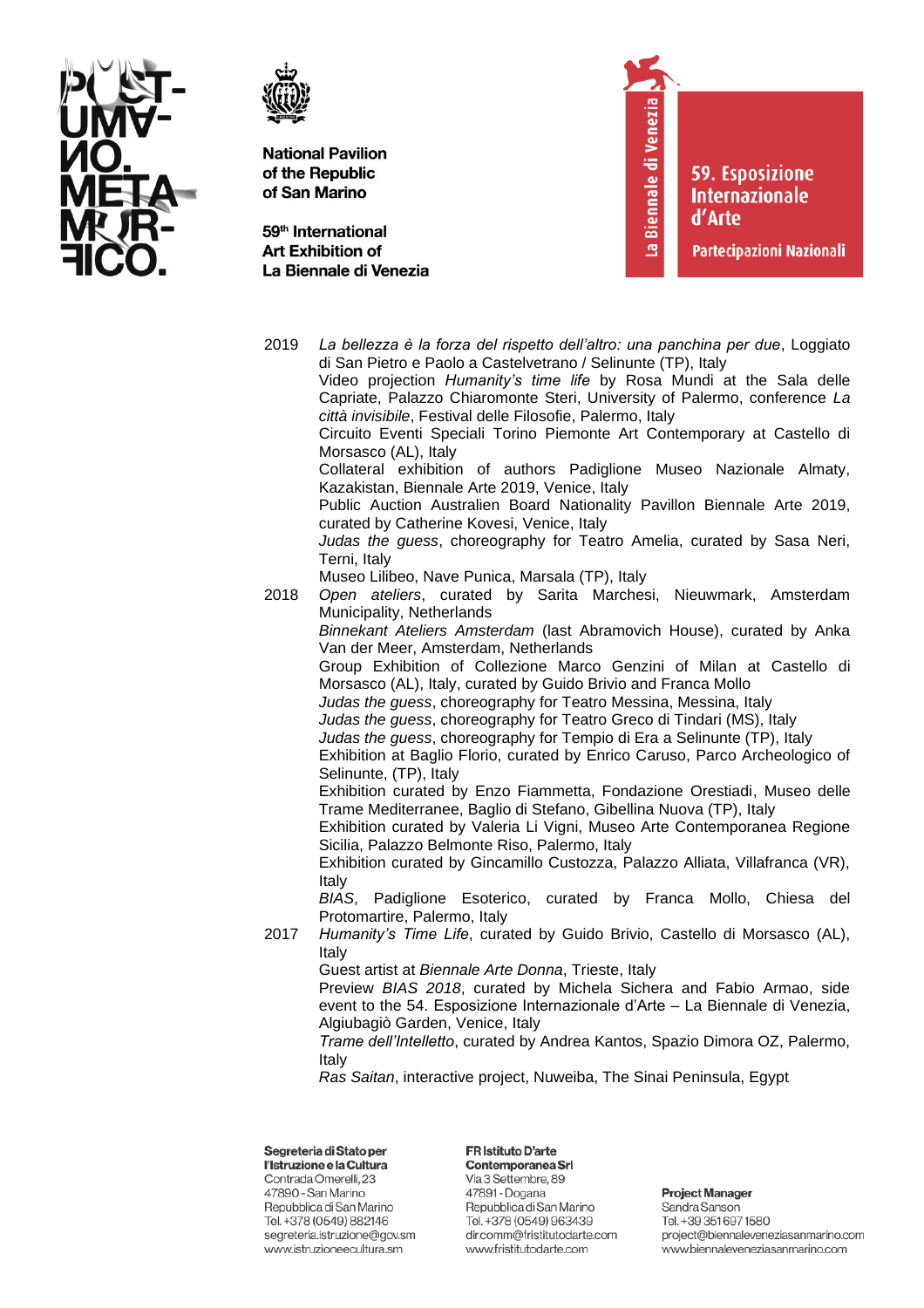



2019

**National Pavilion** of the Republic of San Marino

59<sup>th</sup> International **Art Exhibition of** La Biennale di Venezia

segreteria.istruzione@gov.sm

www.istruzioneecultura.sm

La Biennale di Venezia

La bellezza è la forza del rispetto dell'altro: una panchina per due, Loggiato

**59. Esposizione Internazionale** d'Arte

Partecipazioni Nazionali

project@biennaleveneziasanmarino.com

www.biennaleveneziasanmarino.com

di San Pietro e Paolo a Castelvetrano / Selinunte (TP), Italy Video projection Humanity's time life by Rosa Mundi at the Sala delle Capriate, Palazzo Chiaromonte Steri, University of Palermo, conference La città invisibile, Festival delle Filosofie, Palermo, Italy Circuito Eventi Speciali Torino Piemonte Art Contemporary at Castello di Morsasco (AL), Italy Collateral exhibition of authors Padiglione Museo Nazionale Almaty, Kazakistan, Biennale Arte 2019, Venice, Italy Public Auction Australien Board Nationality Pavillon Biennale Arte 2019, curated by Catherine Kovesi, Venice, Italy Judas the quess, choreography for Teatro Amelia, curated by Sasa Neri, Terni, Italy Museo Lilibeo, Nave Punica, Marsala (TP), Italy 2018 Open ateliers, curated by Sarita Marchesi, Nieuwmark, Amsterdam Municipality, Netherlands Binnekant Ateliers Amsterdam (last Abramovich House), curated by Anka Van der Meer, Amsterdam, Netherlands Group Exhibition of Collezione Marco Genzini of Milan at Castello di Morsasco (AL), Italy, curated by Guido Brivio and Franca Mollo Judas the quess, choreography for Teatro Messina, Messina, Italy Judas the guess, choreography for Teatro Greco di Tindari (MS), Italy Judas the guess, choreography for Tempio di Era a Selinunte (TP), Italy Exhibition at Baglio Florio, curated by Enrico Caruso, Parco Archeologico of Selinunte, (TP), Italy Exhibition curated by Enzo Fiammetta, Fondazione Orestiadi, Museo delle Trame Mediterranee, Baglio di Stefano, Gibellina Nuova (TP), Italy Exhibition curated by Valeria Li Vigni, Museo Arte Contemporanea Regione Sicilia, Palazzo Belmonte Riso, Palermo, Italy Exhibition curated by Gincamillo Custozza, Palazzo Alliata, Villafranca (VR), Italy BIAS, Padiglione Esoterico, curated by Franca Mollo, Chiesa del Protomartire, Palermo, Italy 2017 Humanity's Time Life, curated by Guido Brivio, Castello di Morsasco (AL), Italy Guest artist at Biennale Arte Donna, Trieste, Italy Preview BIAS 2018, curated by Michela Sichera and Fabio Armao, side event to the 54. Esposizione Internazionale d'Arte - La Biennale di Venezia, Algiubagiò Garden, Venice, Italy Trame dell'Intelletto, curated by Andrea Kantos, Spazio Dimora OZ, Palermo, Italy Ras Saitan, interactive project, Nuweiba, The Sinai Peninsula, Egypt Segreteria di Stato per FR Istituto D'arte l'Istruzione e la Cultura Contemporanea Srl Contrada Omerelli, 23 Via 3 Settembre, 89 47891 - Dogana **Project Manager** 47890 - San Marino Repubblica di San Marino Repubblica di San Marino Sandra Sanson Tel. +378 (0549) 882146 Tel. +378 (0549) 963439 Tel. +39 351 697 1580

dir.comm@fristitutodarte.com

www.fristitutodarte.com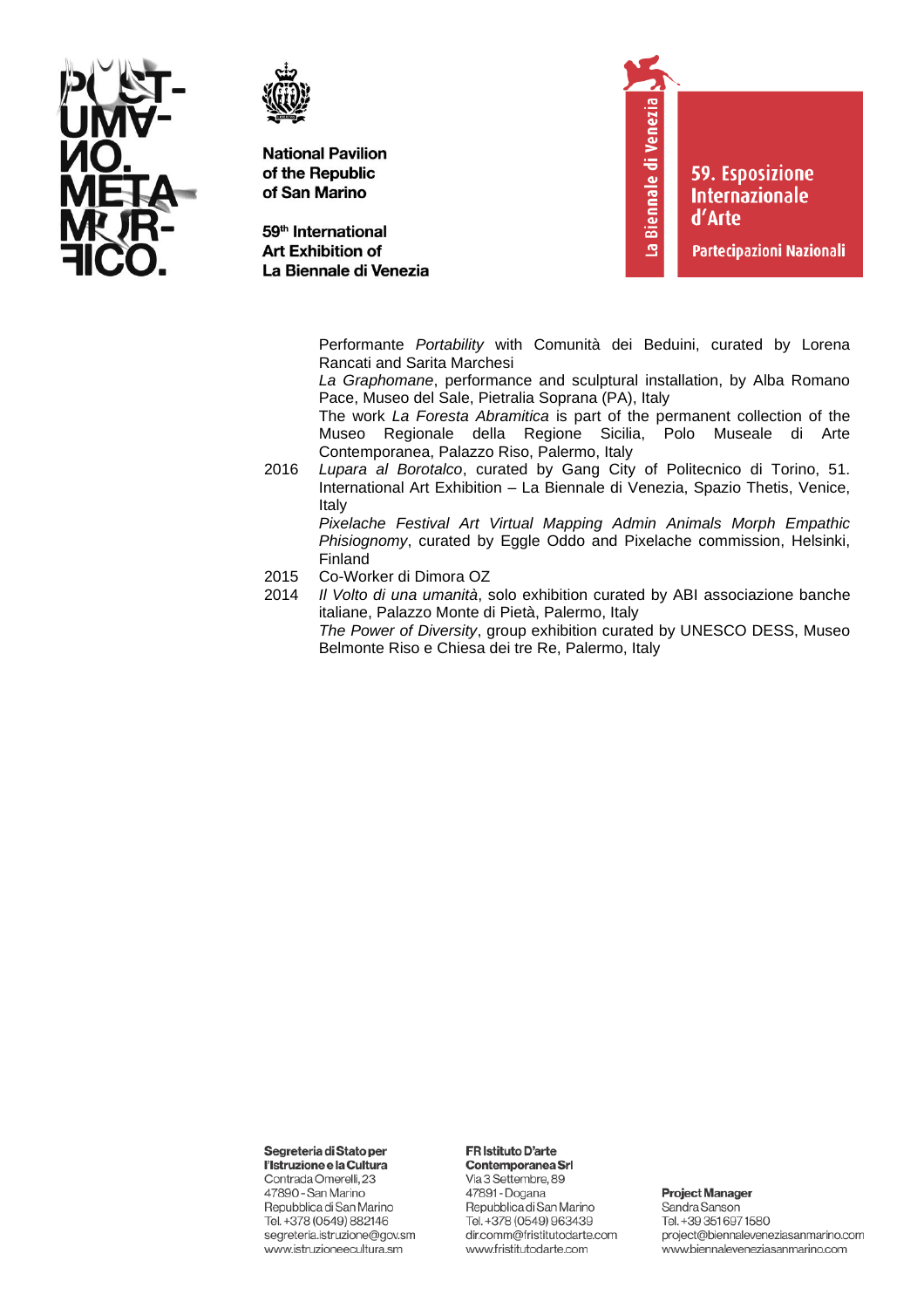



59<sup>th</sup> International **Art Exhibition of** La Biennale di Venezia La Biennale di Venezia

**59. Esposizione Internazionale** d'Arte

Partecipazioni Nazionali

Performante *Portability* with Comunità dei Beduini, curated by Lorena Rancati and Sarita Marchesi

*La Graphomane*, performance and sculptural installation, by Alba Romano Pace, Museo del Sale, Pietralia Soprana (PA), Italy

The work *La Foresta Abramitica* is part of the permanent collection of the Museo Regionale della Regione Sicilia, Polo Museale di Arte Contemporanea, Palazzo Riso, Palermo, Italy

2016 *Lupara al Borotalco*, curated by Gang City of Politecnico di Torino, 51. International Art Exhibition – La Biennale di Venezia, Spazio Thetis, Venice, Italy

*Pixelache Festival Art Virtual Mapping Admin Animals Morph Empathic Phisiognomy*, curated by Eggle Oddo and Pixelache commission, Helsinki, Finland

- 2015 Co-Worker di Dimora OZ<br>2014 Il Volto di una umanità. s
- 2014 *Il Volto di una umanità*, solo exhibition curated by ABI associazione banche italiane, Palazzo Monte di Pietà, Palermo, Italy *The Power of Diversity*, group exhibition curated by UNESCO DESS, Museo

Belmonte Riso e Chiesa dei tre Re, Palermo, Italy

Segreteria di Stato per

l'Istruzione e la Cultura Contrada Omerelli, 23 47890 - San Marino Repubblica di San Marino Tel. +378 (0549) 882146 segreteria.istruzione@gov.sm www.istruzioneecultura.sm

## FR Istituto D'arte

Contemporanea Srl Via 3 Settembre, 89 47891 - Dogana Repubblica di San Marino Tel. +378 (0549) 963439 dir.comm@fristitutodarte.com www.fristitutodarte.com

**Project Manager**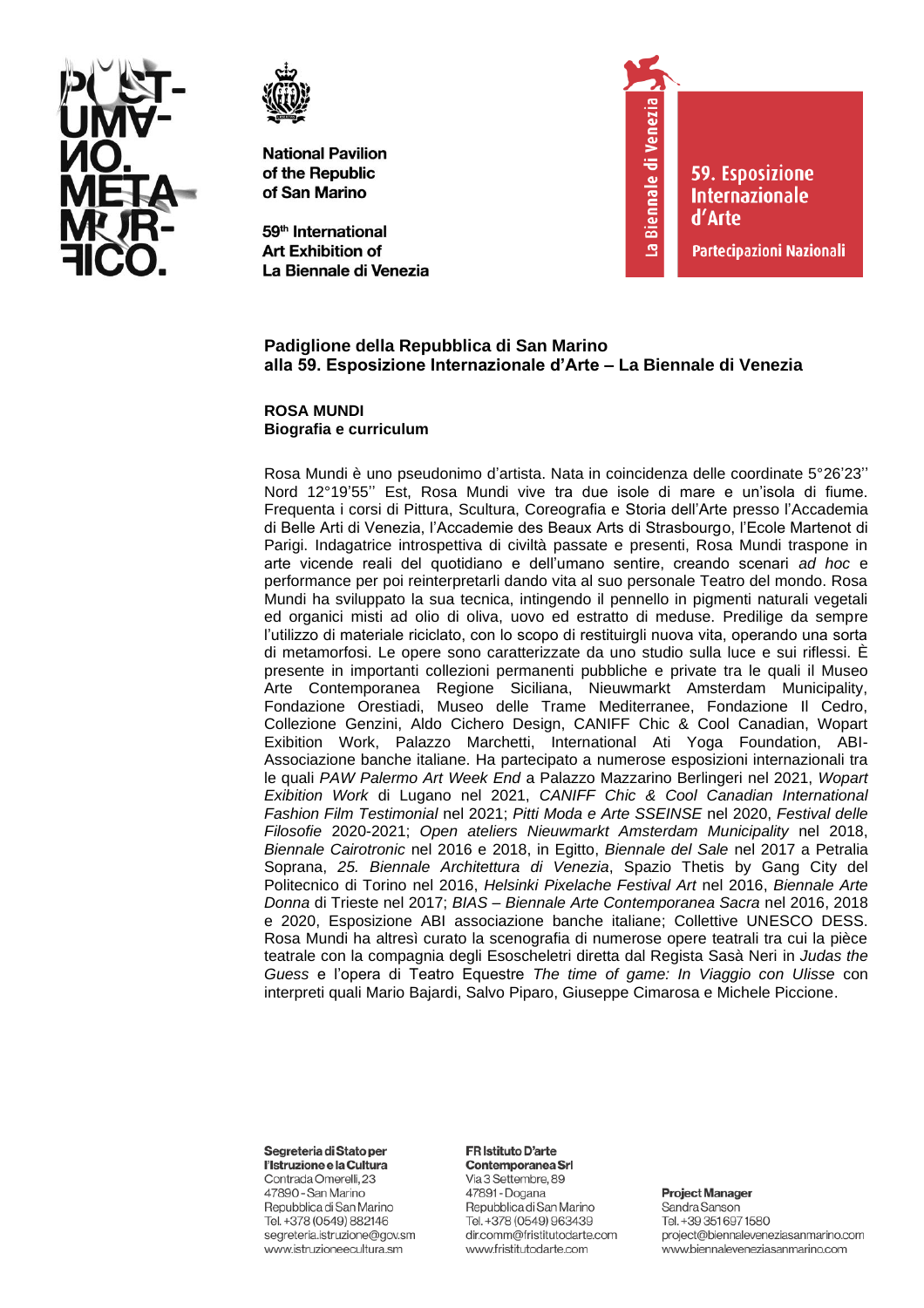



59<sup>th</sup> International **Art Exhibition of** La Biennale di Venezia



**59. Esposizione Internazionale** d'Arte

Partecipazioni Nazionali

## **Padiglione della Repubblica di San Marino alla 59. Esposizione Internazionale d'Arte – La Biennale di Venezia**

**ROSA MUNDI Biografia e curriculum**

Rosa Mundi è uno pseudonimo d'artista. Nata in coincidenza delle coordinate 5°26'23'' Nord 12°19'55'' Est, Rosa Mundi vive tra due isole di mare e un'isola di fiume. Frequenta i corsi di Pittura, Scultura, Coreografia e Storia dell'Arte presso l'Accademia di Belle Arti di Venezia, l'Accademie des Beaux Arts di Strasbourgo, l'Ecole Martenot di Parigi. Indagatrice introspettiva di civiltà passate e presenti, Rosa Mundi traspone in arte vicende reali del quotidiano e dell'umano sentire, creando scenari *ad hoc* e performance per poi reinterpretarli dando vita al suo personale Teatro del mondo. Rosa Mundi ha sviluppato la sua tecnica, intingendo il pennello in pigmenti naturali vegetali ed organici misti ad olio di oliva, uovo ed estratto di meduse. Predilige da sempre l'utilizzo di materiale riciclato, con lo scopo di restituirgli nuova vita, operando una sorta di metamorfosi. Le opere sono caratterizzate da uno studio sulla luce e sui riflessi. È presente in importanti collezioni permanenti pubbliche e private tra le quali il Museo Arte Contemporanea Regione Siciliana, Nieuwmarkt Amsterdam Municipality, Fondazione Orestiadi, Museo delle Trame Mediterranee, Fondazione Il Cedro, Collezione Genzini, Aldo Cichero Design, CANIFF Chic & Cool Canadian, Wopart Exibition Work, Palazzo Marchetti, International Ati Yoga Foundation, ABI-Associazione banche italiane. Ha partecipato a numerose esposizioni internazionali tra le quali *PAW Palermo Art Week End* a Palazzo Mazzarino Berlingeri nel 2021, *Wopart Exibition Work* di Lugano nel 2021, *CANIFF Chic & Cool Canadian International Fashion Film Testimonial* nel 2021; *Pitti Moda e Arte SSEINSE* nel 2020, *Festival delle Filosofie* 2020-2021; *Open ateliers Nieuwmarkt Amsterdam Municipality* nel 2018, *Biennale Cairotronic* nel 2016 e 2018, in Egitto, *Biennale del Sale* nel 2017 a Petralia Soprana, *25. Biennale Architettura di Venezia*, Spazio Thetis by Gang City del Politecnico di Torino nel 2016, *Helsinki Pixelache Festival Art* nel 2016, *Biennale Arte Donna* di Trieste nel 2017; *BIAS – Biennale Arte Contemporanea Sacra* nel 2016, 2018 e 2020, Esposizione ABI associazione banche italiane; Collettive UNESCO DESS. Rosa Mundi ha altresì curato la scenografia di numerose opere teatrali tra cui la pièce teatrale con la compagnia degli Esoscheletri diretta dal Regista Sasà Neri in *Judas the Guess* e l'opera di Teatro Equestre *The time of game: In Viaggio con Ulisse* con interpreti quali Mario Bajardi, Salvo Piparo, Giuseppe Cimarosa e Michele Piccione.

Segreteria di Stato per

l'Istruzione e la Cultura Contrada Omerelli, 23 47890 - San Marino Repubblica di San Marino Tel. +378 (0549) 882146 segreteria.istruzione@gov.sm www.istruzioneecultura.sm

## FR Istituto D'arte

Contemporanea Srl Via 3 Settembre, 89 47891 - Dogana Repubblica di San Marino Tel. +378 (0549) 963439 dir.comm@fristitutodarte.com www.fristitutodarte.com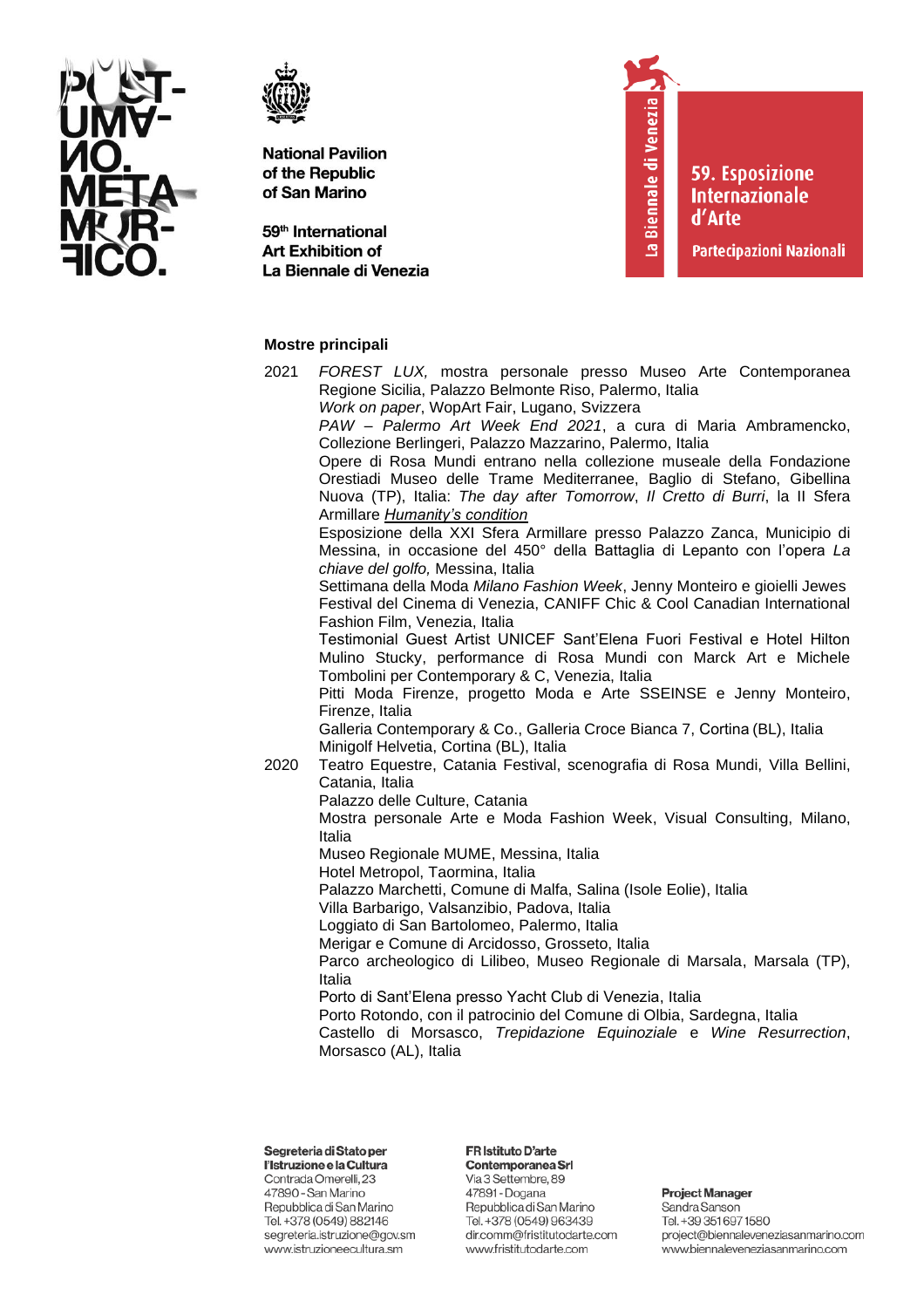



59<sup>th</sup> International **Art Exhibition of** La Biennale di Venezia

# La Biennale di Venezia

**59. Esposizione Internazionale** d'Arte

Partecipazioni Nazionali

# **Mostre principali**

- 2021 *FOREST LUX,* mostra personale presso Museo Arte Contemporanea Regione Sicilia, Palazzo Belmonte Riso, Palermo, Italia
	- *Work on paper*, WopArt Fair, Lugano, Svizzera *PAW – Palermo Art Week End 2021*, a cura di Maria Ambramencko,

Collezione Berlingeri, Palazzo Mazzarino, Palermo, Italia Opere di Rosa Mundi entrano nella collezione museale della Fondazione Orestiadi Museo delle Trame Mediterranee, Baglio di Stefano, Gibellina Nuova (TP), Italia: *The day after Tomorrow*, *Il Cretto di Burri*, la II Sfera Armillare *Humanity's condition*

Esposizione della XXI Sfera Armillare presso Palazzo Zanca, Municipio di Messina, in occasione del 450° della Battaglia di Lepanto con l'opera *La chiave del golfo,* Messina, Italia

Settimana della Moda *Milano Fashion Week*, Jenny Monteiro e gioielli Jewes Festival del Cinema di Venezia, CANIFF Chic & Cool Canadian International Fashion Film, Venezia, Italia

Testimonial Guest Artist UNICEF Sant'Elena Fuori Festival e Hotel Hilton Mulino Stucky, performance di Rosa Mundi con Marck Art e Michele Tombolini per Contemporary & C, Venezia, Italia

Pitti Moda Firenze, progetto Moda e Arte SSEINSE e Jenny Monteiro, Firenze, Italia

Galleria Contemporary & Co., Galleria Croce Bianca 7, Cortina (BL), Italia Minigolf Helvetia, Cortina (BL), Italia

- 2020 Teatro Equestre, Catania Festival, scenografia di Rosa Mundi, Villa Bellini, Catania, Italia
	- Palazzo delle Culture, Catania

Mostra personale Arte e Moda Fashion Week, Visual Consulting, Milano, Italia

Museo Regionale MUME, Messina, Italia

Hotel Metropol, Taormina, Italia

Palazzo Marchetti, Comune di Malfa, Salina (Isole Eolie), Italia

Villa Barbarigo, Valsanzibio, Padova, Italia

Loggiato di San Bartolomeo, Palermo, Italia

Merigar e Comune di Arcidosso, Grosseto, Italia

Parco archeologico di Lilibeo, Museo Regionale di Marsala, Marsala (TP), Italia

Porto di Sant'Elena presso Yacht Club di Venezia, Italia

Porto Rotondo, con il patrocinio del Comune di Olbia, Sardegna, Italia

Castello di Morsasco, *Trepidazione Equinoziale* e *Wine Resurrection*, Morsasco (AL), Italia

# Segreteria di Stato per

l'Istruzione e la Cultura Contrada Omerelli, 23 47890 - San Marino Repubblica di San Marino Tel. +378 (0549) 882146 segreteria.istruzione@gov.sm www.istruzioneecultura.sm

# FR Istituto D'arte

Contemporanea Srl Via 3 Settembre, 89 47891 - Dogana Repubblica di San Marino Tel. +378 (0549) 963439 dir.comm@fristitutodarte.com www.fristitutodarte.com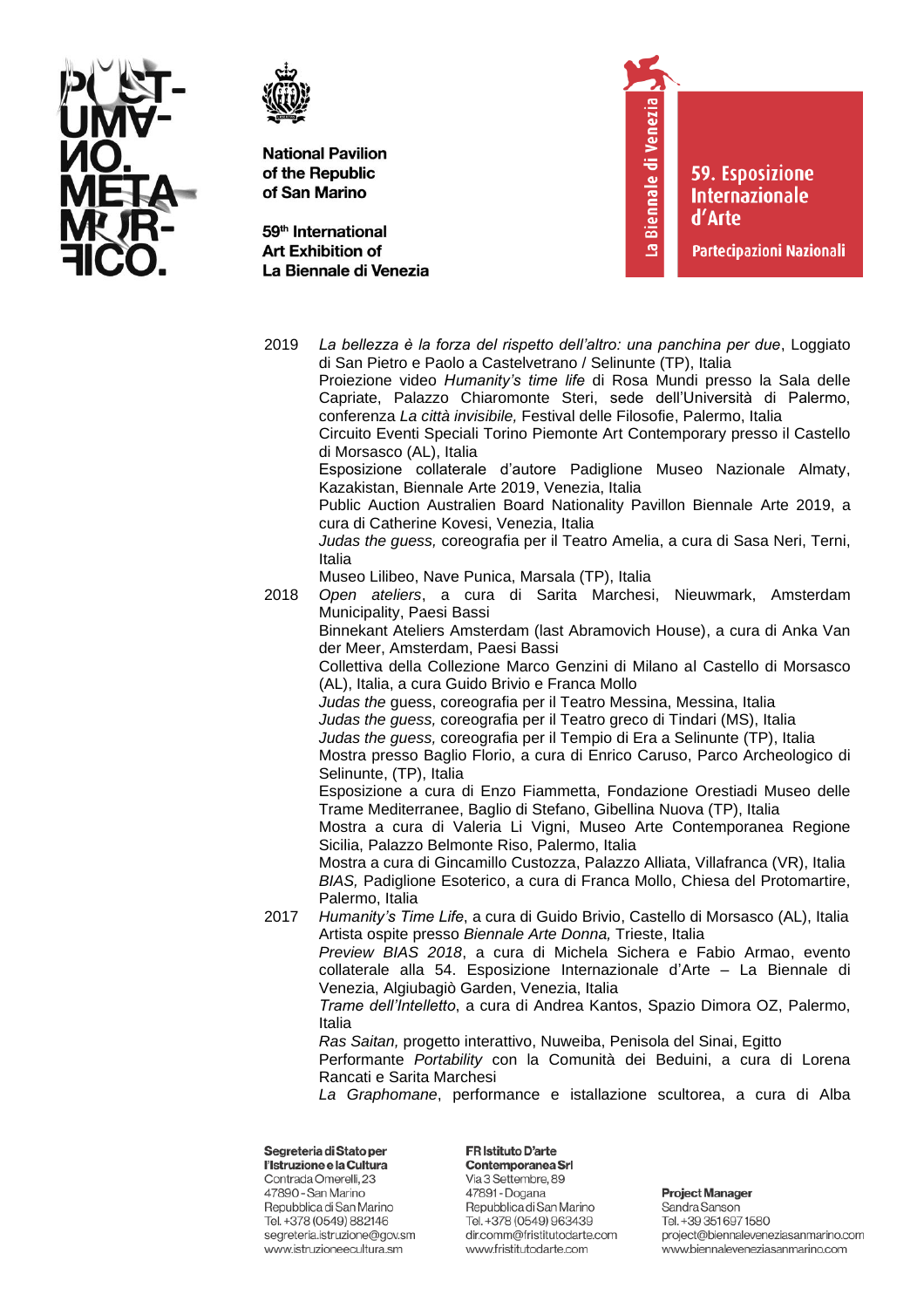



59<sup>th</sup> International **Art Exhibition of** La Biennale di Venezia La Biennale di Venezia

**59. Esposizione Internazionale** d'Arte

Partecipazioni Nazionali

2019 La bellezza è la forza del rispetto dell'altro: una panchina per due, Loggiato di San Pietro e Paolo a Castelvetrano / Selinunte (TP), Italia Proiezione video Humanity's time life di Rosa Mundi presso la Sala delle Capriate, Palazzo Chiaromonte Steri, sede dell'Università di Palermo, conferenza La città invisibile, Festival delle Filosofie, Palermo, Italia Circuito Eventi Speciali Torino Piemonte Art Contemporary presso il Castello di Morsasco (AL), Italia Esposizione collaterale d'autore Padiglione Museo Nazionale Almaty, Kazakistan, Biennale Arte 2019, Venezia, Italia Public Auction Australien Board Nationality Pavillon Biennale Arte 2019, a cura di Catherine Kovesi, Venezia, Italia Judas the quess, coreografia per il Teatro Amelia, a cura di Sasa Neri, Terni, Italia Museo Lilibeo, Nave Punica, Marsala (TP), Italia 2018 Open ateliers, a cura di Sarita Marchesi, Nieuwmark, Amsterdam Municipality, Paesi Bassi Binnekant Ateliers Amsterdam (last Abramovich House), a cura di Anka Van der Meer, Amsterdam, Paesi Bassi Collettiva della Collezione Marco Genzini di Milano al Castello di Morsasco (AL), Italia, a cura Guido Brivio e Franca Mollo Judas the quess, coreografia per il Teatro Messina, Messina, Italia Judas the guess, coreografia per il Teatro greco di Tindari (MS), Italia Judas the guess, coreografia per il Tempio di Era a Selinunte (TP), Italia Mostra presso Baglio Florio, a cura di Enrico Caruso, Parco Archeologico di Selinunte, (TP), Italia Esposizione a cura di Enzo Fiammetta, Fondazione Orestiadi Museo delle Trame Mediterranee, Baglio di Stefano, Gibellina Nuova (TP), Italia Mostra a cura di Valeria Li Vigni, Museo Arte Contemporanea Regione Sicilia, Palazzo Belmonte Riso, Palermo, Italia Mostra a cura di Gincamillo Custozza, Palazzo Alliata, Villafranca (VR), Italia BIAS, Padiglione Esoterico, a cura di Franca Mollo, Chiesa del Protomartire, Palermo, Italia 2017 Humanity's Time Life, a cura di Guido Brivio, Castello di Morsasco (AL), Italia Artista ospite presso Biennale Arte Donna, Trieste, Italia Preview BIAS 2018, a cura di Michela Sichera e Fabio Armao, evento collaterale alla 54. Esposizione Internazionale d'Arte - La Biennale di Venezia, Algiubagiò Garden, Venezia, Italia Trame dell'Intelletto, a cura di Andrea Kantos, Spazio Dimora OZ, Palermo, **Italia** Ras Saitan, progetto interattivo, Nuweiba, Penisola del Sinai, Egitto Performante Portability con la Comunità dei Beduini, a cura di Lorena Rancati e Sarita Marchesi La Graphomane, performance e istallazione scultorea, a cura di Alba Segreteria di Stato per FR Istituto D'arte

l'Istruzione e la Cultura Contrada Omerelli, 23 47890 - San Marino Repubblica di San Marino Tel. +378 (0549) 882146 segreteria.istruzione@gov.sm www.istruzioneecultura.sm

Contemporanea Srl Via 3 Settembre, 89 47891 - Dogana Repubblica di San Marino Tel. +378 (0549) 963439 dir.comm@fristitutodarte.com www.fristitutodarte.com